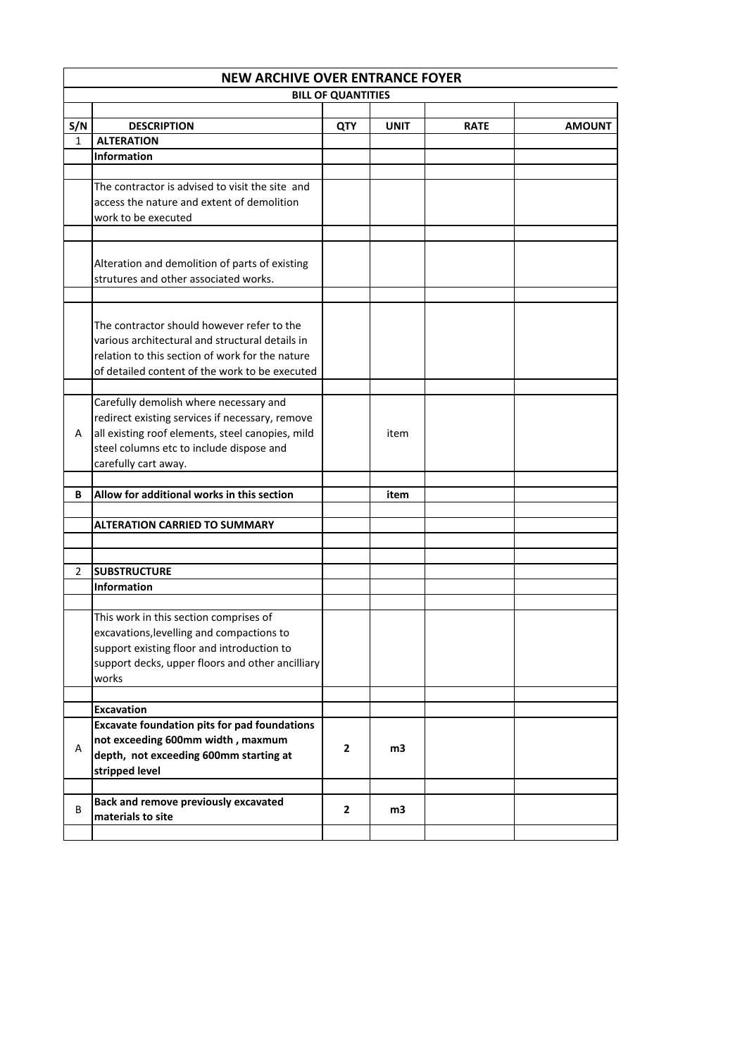|     | <b>NEW ARCHIVE OVER ENTRANCE FOYER</b>              |              |             |             |               |  |  |
|-----|-----------------------------------------------------|--------------|-------------|-------------|---------------|--|--|
|     | <b>BILL OF QUANTITIES</b>                           |              |             |             |               |  |  |
|     |                                                     |              |             |             |               |  |  |
| S/N | <b>DESCRIPTION</b>                                  | <b>QTY</b>   | <b>UNIT</b> | <b>RATE</b> | <b>AMOUNT</b> |  |  |
| 1   | <b>ALTERATION</b>                                   |              |             |             |               |  |  |
|     | <b>Information</b>                                  |              |             |             |               |  |  |
|     |                                                     |              |             |             |               |  |  |
|     | The contractor is advised to visit the site and     |              |             |             |               |  |  |
|     | access the nature and extent of demolition          |              |             |             |               |  |  |
|     | work to be executed                                 |              |             |             |               |  |  |
|     |                                                     |              |             |             |               |  |  |
|     |                                                     |              |             |             |               |  |  |
|     | Alteration and demolition of parts of existing      |              |             |             |               |  |  |
|     | strutures and other associated works.               |              |             |             |               |  |  |
|     |                                                     |              |             |             |               |  |  |
|     |                                                     |              |             |             |               |  |  |
|     | The contractor should however refer to the          |              |             |             |               |  |  |
|     |                                                     |              |             |             |               |  |  |
|     | various architectural and structural details in     |              |             |             |               |  |  |
|     | relation to this section of work for the nature     |              |             |             |               |  |  |
|     | of detailed content of the work to be executed      |              |             |             |               |  |  |
|     |                                                     |              |             |             |               |  |  |
|     | Carefully demolish where necessary and              |              |             |             |               |  |  |
|     | redirect existing services if necessary, remove     |              |             |             |               |  |  |
| A   | all existing roof elements, steel canopies, mild    |              | item        |             |               |  |  |
|     | steel columns etc to include dispose and            |              |             |             |               |  |  |
|     | carefully cart away.                                |              |             |             |               |  |  |
|     |                                                     |              |             |             |               |  |  |
| В   | Allow for additional works in this section          |              | item        |             |               |  |  |
|     |                                                     |              |             |             |               |  |  |
|     | <b>ALTERATION CARRIED TO SUMMARY</b>                |              |             |             |               |  |  |
|     |                                                     |              |             |             |               |  |  |
|     |                                                     |              |             |             |               |  |  |
| 2   | <b>SUBSTRUCTURE</b>                                 |              |             |             |               |  |  |
|     | <b>Information</b>                                  |              |             |             |               |  |  |
|     |                                                     |              |             |             |               |  |  |
|     | This work in this section comprises of              |              |             |             |               |  |  |
|     | excavations, levelling and compactions to           |              |             |             |               |  |  |
|     | support existing floor and introduction to          |              |             |             |               |  |  |
|     | support decks, upper floors and other ancilliary    |              |             |             |               |  |  |
|     | works                                               |              |             |             |               |  |  |
|     |                                                     |              |             |             |               |  |  |
|     | <b>Excavation</b>                                   |              |             |             |               |  |  |
|     | <b>Excavate foundation pits for pad foundations</b> |              |             |             |               |  |  |
|     | not exceeding 600mm width, maxmum                   |              |             |             |               |  |  |
| Α   | depth, not exceeding 600mm starting at              | $\mathbf{2}$ | m3          |             |               |  |  |
|     |                                                     |              |             |             |               |  |  |
|     | stripped level                                      |              |             |             |               |  |  |
|     |                                                     |              |             |             |               |  |  |
| B   | <b>Back and remove previously excavated</b>         | $\mathbf{2}$ | m3          |             |               |  |  |
|     | materials to site                                   |              |             |             |               |  |  |
|     |                                                     |              |             |             |               |  |  |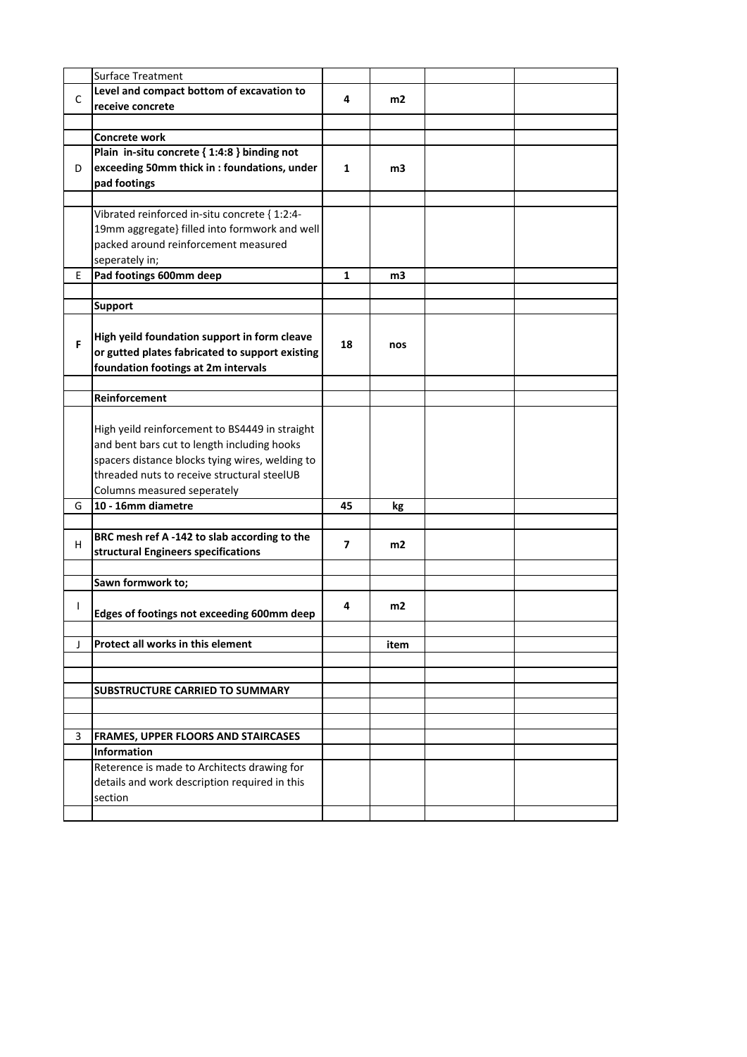|              | Surface Treatment                               |    |                |  |
|--------------|-------------------------------------------------|----|----------------|--|
|              | Level and compact bottom of excavation to       |    |                |  |
| C            | receive concrete                                | 4  | m <sub>2</sub> |  |
|              |                                                 |    |                |  |
|              | Concrete work                                   |    |                |  |
|              | Plain in-situ concrete { 1:4:8 } binding not    |    |                |  |
| D            | exceeding 50mm thick in: foundations, under     | 1  | m3             |  |
|              | pad footings                                    |    |                |  |
|              |                                                 |    |                |  |
|              | Vibrated reinforced in-situ concrete { 1:2:4-   |    |                |  |
|              | 19mm aggregate} filled into formwork and well   |    |                |  |
|              | packed around reinforcement measured            |    |                |  |
|              | seperately in;                                  |    |                |  |
| E.           | Pad footings 600mm deep                         | 1  | m3             |  |
|              |                                                 |    |                |  |
|              | <b>Support</b>                                  |    |                |  |
|              |                                                 |    |                |  |
| F            | High yeild foundation support in form cleave    | 18 | nos            |  |
|              | or gutted plates fabricated to support existing |    |                |  |
|              | foundation footings at 2m intervals             |    |                |  |
|              |                                                 |    |                |  |
|              | <b>Reinforcement</b>                            |    |                |  |
|              |                                                 |    |                |  |
|              | High yeild reinforcement to BS4449 in straight  |    |                |  |
|              | and bent bars cut to length including hooks     |    |                |  |
|              | spacers distance blocks tying wires, welding to |    |                |  |
|              | threaded nuts to receive structural steelUB     |    |                |  |
|              | Columns measured seperately                     |    |                |  |
| G            | 10 - 16mm diametre                              | 45 | kg             |  |
|              | BRC mesh ref A -142 to slab according to the    |    |                |  |
| H            | structural Engineers specifications             | 7  | m2             |  |
|              |                                                 |    |                |  |
|              | Sawn formwork to;                               |    |                |  |
|              |                                                 |    |                |  |
| $\mathbf{I}$ | Edges of footings not exceeding 600mm deep      | 4  | m2             |  |
|              |                                                 |    |                |  |
| J            | Protect all works in this element               |    | item           |  |
|              |                                                 |    |                |  |
|              |                                                 |    |                |  |
|              | SUBSTRUCTURE CARRIED TO SUMMARY                 |    |                |  |
|              |                                                 |    |                |  |
|              |                                                 |    |                |  |
| 3            | <b>FRAMES, UPPER FLOORS AND STAIRCASES</b>      |    |                |  |
|              | <b>Information</b>                              |    |                |  |
|              | Reterence is made to Architects drawing for     |    |                |  |
|              | details and work description required in this   |    |                |  |
|              | section                                         |    |                |  |
|              |                                                 |    |                |  |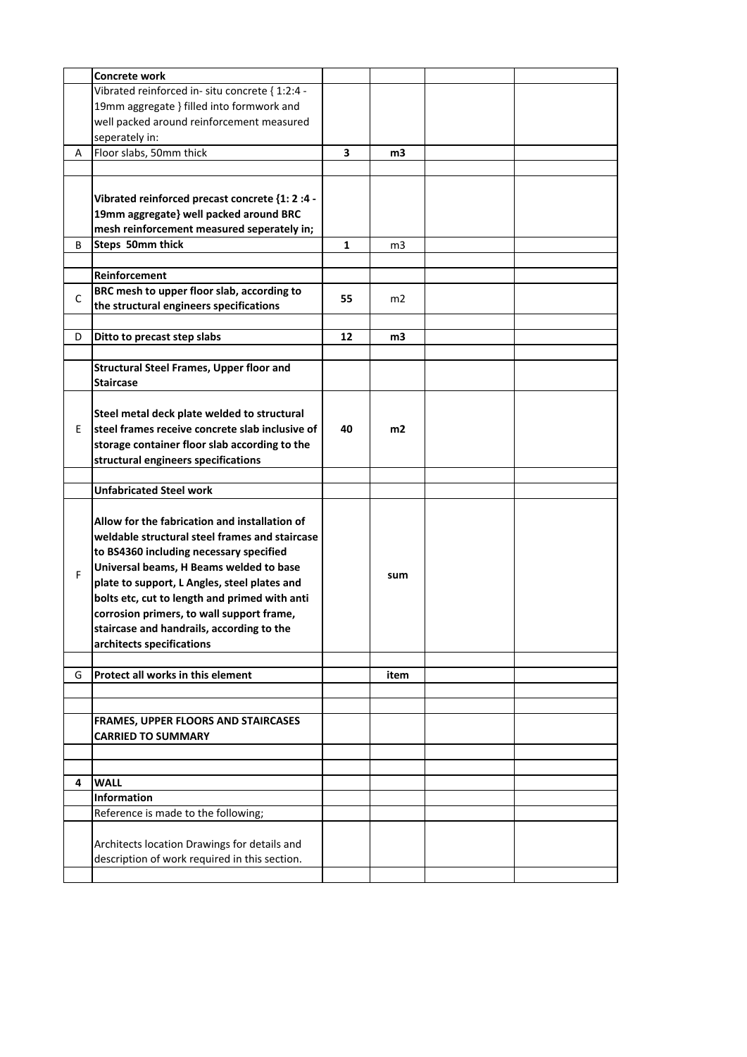|   | <b>Concrete work</b>                            |    |      |  |
|---|-------------------------------------------------|----|------|--|
|   | Vibrated reinforced in-situ concrete { 1:2:4 -  |    |      |  |
|   | 19mm aggregate } filled into formwork and       |    |      |  |
|   | well packed around reinforcement measured       |    |      |  |
|   |                                                 |    |      |  |
|   | seperately in:                                  |    |      |  |
| А | Floor slabs, 50mm thick                         | 3  | m3   |  |
|   |                                                 |    |      |  |
|   |                                                 |    |      |  |
|   | Vibrated reinforced precast concrete {1: 2 :4 - |    |      |  |
|   | 19mm aggregate} well packed around BRC          |    |      |  |
|   | mesh reinforcement measured seperately in;      |    |      |  |
| В | Steps 50mm thick                                | 1  | m3   |  |
|   |                                                 |    |      |  |
|   | Reinforcement                                   |    |      |  |
|   |                                                 |    |      |  |
| C | BRC mesh to upper floor slab, according to      | 55 | m2   |  |
|   | the structural engineers specifications         |    |      |  |
|   |                                                 |    |      |  |
| D | Ditto to precast step slabs                     | 12 | m3   |  |
|   |                                                 |    |      |  |
|   | <b>Structural Steel Frames, Upper floor and</b> |    |      |  |
|   | <b>Staircase</b>                                |    |      |  |
|   |                                                 |    |      |  |
|   | Steel metal deck plate welded to structural     |    |      |  |
|   | steel frames receive concrete slab inclusive of |    |      |  |
| E |                                                 | 40 | m2   |  |
|   | storage container floor slab according to the   |    |      |  |
|   | structural engineers specifications             |    |      |  |
|   |                                                 |    |      |  |
|   | <b>Unfabricated Steel work</b>                  |    |      |  |
|   |                                                 |    |      |  |
|   | Allow for the fabrication and installation of   |    |      |  |
|   | weldable structural steel frames and staircase  |    |      |  |
|   | to BS4360 including necessary specified         |    |      |  |
|   |                                                 |    |      |  |
| F | Universal beams, H Beams welded to base         |    | sum  |  |
|   | plate to support, L Angles, steel plates and    |    |      |  |
|   | bolts etc, cut to length and primed with anti   |    |      |  |
|   | corrosion primers, to wall support frame,       |    |      |  |
|   | staircase and handrails, according to the       |    |      |  |
|   | architects specifications                       |    |      |  |
|   |                                                 |    |      |  |
| G | Protect all works in this element               |    | item |  |
|   |                                                 |    |      |  |
|   |                                                 |    |      |  |
|   |                                                 |    |      |  |
|   | FRAMES, UPPER FLOORS AND STAIRCASES             |    |      |  |
|   | <b>CARRIED TO SUMMARY</b>                       |    |      |  |
|   |                                                 |    |      |  |
|   |                                                 |    |      |  |
| 4 | <b>WALL</b>                                     |    |      |  |
|   | <b>Information</b>                              |    |      |  |
|   | Reference is made to the following;             |    |      |  |
|   |                                                 |    |      |  |
|   | Architects location Drawings for details and    |    |      |  |
|   | description of work required in this section.   |    |      |  |
|   |                                                 |    |      |  |
|   |                                                 |    |      |  |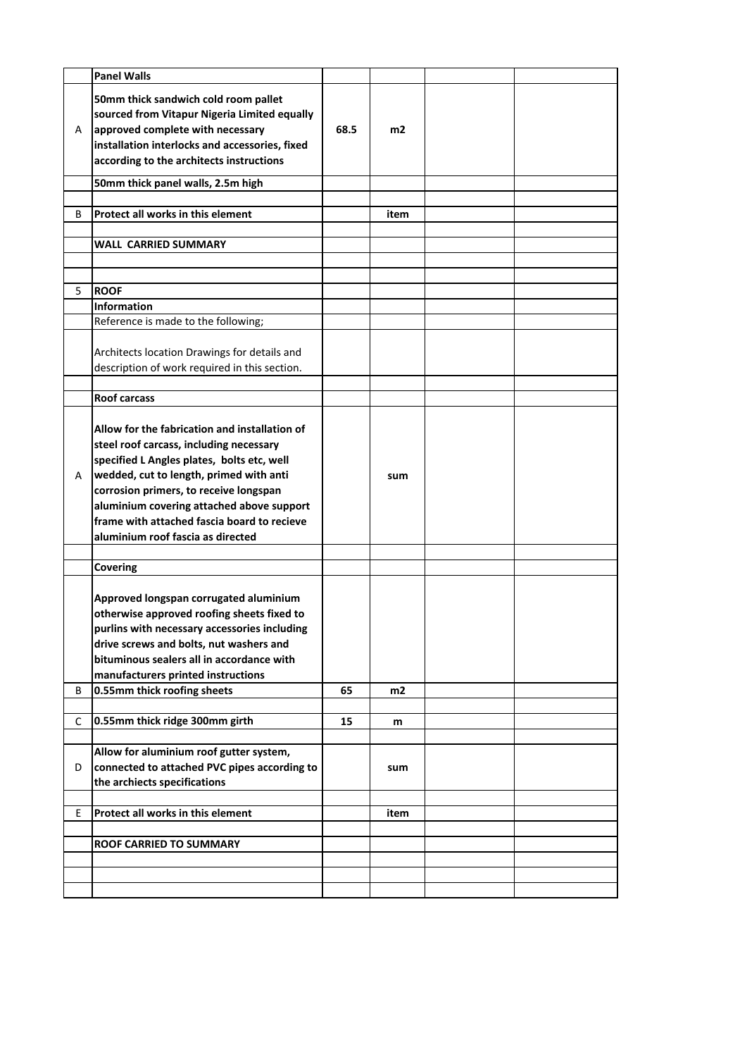|   | <b>Panel Walls</b>                                                                                                                                                                                                                                                                                                                                           |      |      |  |
|---|--------------------------------------------------------------------------------------------------------------------------------------------------------------------------------------------------------------------------------------------------------------------------------------------------------------------------------------------------------------|------|------|--|
| A | 50mm thick sandwich cold room pallet<br>sourced from Vitapur Nigeria Limited equally<br>approved complete with necessary<br>installation interlocks and accessories, fixed<br>according to the architects instructions                                                                                                                                       | 68.5 | m2   |  |
|   | 50mm thick panel walls, 2.5m high                                                                                                                                                                                                                                                                                                                            |      |      |  |
|   |                                                                                                                                                                                                                                                                                                                                                              |      |      |  |
| B | Protect all works in this element                                                                                                                                                                                                                                                                                                                            |      | item |  |
|   | WALL  CARRIED SUMMARY                                                                                                                                                                                                                                                                                                                                        |      |      |  |
|   |                                                                                                                                                                                                                                                                                                                                                              |      |      |  |
|   |                                                                                                                                                                                                                                                                                                                                                              |      |      |  |
| 5 | <b>ROOF</b>                                                                                                                                                                                                                                                                                                                                                  |      |      |  |
|   | <b>Information</b>                                                                                                                                                                                                                                                                                                                                           |      |      |  |
|   | Reference is made to the following;                                                                                                                                                                                                                                                                                                                          |      |      |  |
|   | Architects location Drawings for details and<br>description of work required in this section.                                                                                                                                                                                                                                                                |      |      |  |
|   |                                                                                                                                                                                                                                                                                                                                                              |      |      |  |
|   | <b>Roof carcass</b>                                                                                                                                                                                                                                                                                                                                          |      |      |  |
| A | Allow for the fabrication and installation of<br>steel roof carcass, including necessary<br>specified L Angles plates, bolts etc, well<br>wedded, cut to length, primed with anti<br>corrosion primers, to receive longspan<br>aluminium covering attached above support<br>frame with attached fascia board to recieve<br>aluminium roof fascia as directed |      | sum  |  |
|   |                                                                                                                                                                                                                                                                                                                                                              |      |      |  |
|   | Covering                                                                                                                                                                                                                                                                                                                                                     |      |      |  |
|   | Approved longspan corrugated aluminium<br>otherwise approved roofing sheets fixed to<br>purlins with necessary accessories including<br>drive screws and bolts, nut washers and<br>bituminous sealers all in accordance with<br>manufacturers printed instructions                                                                                           |      |      |  |
| B | 0.55mm thick roofing sheets                                                                                                                                                                                                                                                                                                                                  | 65   | m2   |  |
| C | 0.55mm thick ridge 300mm girth                                                                                                                                                                                                                                                                                                                               | 15   | m    |  |
| D | Allow for aluminium roof gutter system,<br>connected to attached PVC pipes according to<br>the archiects specifications                                                                                                                                                                                                                                      |      | sum  |  |
| E | Protect all works in this element                                                                                                                                                                                                                                                                                                                            |      | item |  |
|   |                                                                                                                                                                                                                                                                                                                                                              |      |      |  |
|   | ROOF CARRIED TO SUMMARY                                                                                                                                                                                                                                                                                                                                      |      |      |  |
|   |                                                                                                                                                                                                                                                                                                                                                              |      |      |  |
|   |                                                                                                                                                                                                                                                                                                                                                              |      |      |  |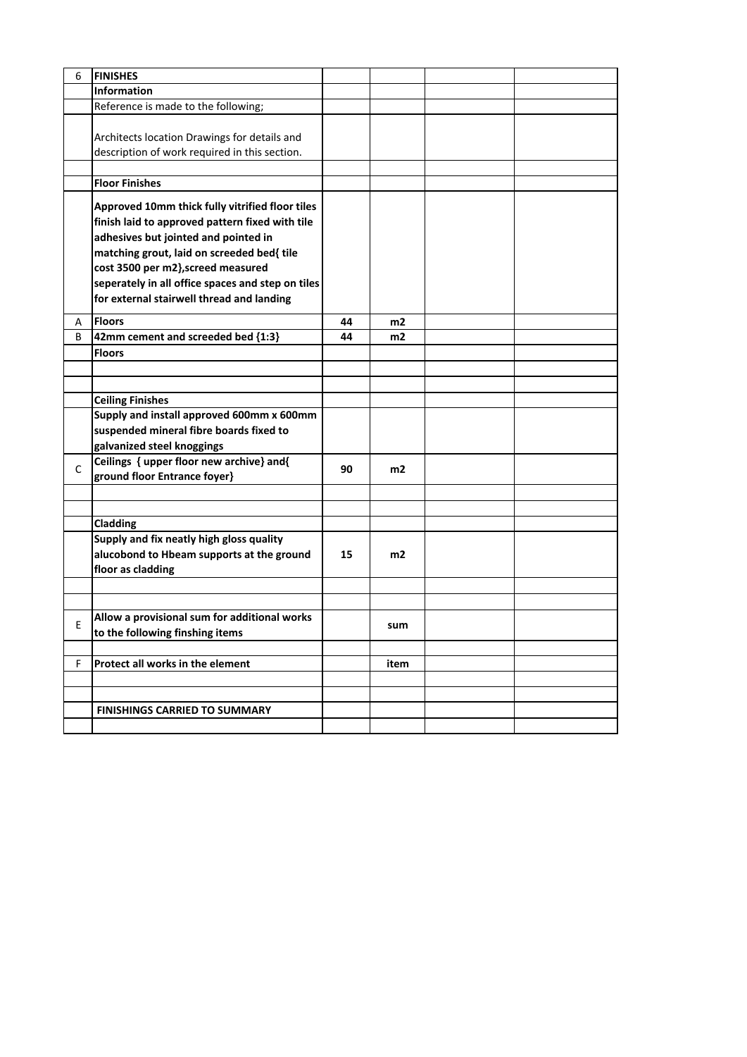| 6 | <b>FINISHES</b>                                                                                                                                                                                                                                                                                                                  |    |      |  |
|---|----------------------------------------------------------------------------------------------------------------------------------------------------------------------------------------------------------------------------------------------------------------------------------------------------------------------------------|----|------|--|
|   | <b>Information</b>                                                                                                                                                                                                                                                                                                               |    |      |  |
|   | Reference is made to the following;                                                                                                                                                                                                                                                                                              |    |      |  |
|   | Architects location Drawings for details and<br>description of work required in this section.                                                                                                                                                                                                                                    |    |      |  |
|   | <b>Floor Finishes</b>                                                                                                                                                                                                                                                                                                            |    |      |  |
|   | Approved 10mm thick fully vitrified floor tiles<br>finish laid to approved pattern fixed with tile<br>adhesives but jointed and pointed in<br>matching grout, laid on screeded bed{ tile<br>cost 3500 per m2}, screed measured<br>seperately in all office spaces and step on tiles<br>for external stairwell thread and landing |    |      |  |
| A | <b>Floors</b>                                                                                                                                                                                                                                                                                                                    | 44 | m2   |  |
| B | 42mm cement and screeded bed {1:3}                                                                                                                                                                                                                                                                                               | 44 | m2   |  |
|   | <b>Floors</b>                                                                                                                                                                                                                                                                                                                    |    |      |  |
|   |                                                                                                                                                                                                                                                                                                                                  |    |      |  |
|   |                                                                                                                                                                                                                                                                                                                                  |    |      |  |
|   | <b>Ceiling Finishes</b>                                                                                                                                                                                                                                                                                                          |    |      |  |
|   | Supply and install approved 600mm x 600mm<br>suspended mineral fibre boards fixed to<br>galvanized steel knoggings                                                                                                                                                                                                               |    |      |  |
| C | Ceilings { upper floor new archive} and{<br>ground floor Entrance foyer}                                                                                                                                                                                                                                                         | 90 | m2   |  |
|   |                                                                                                                                                                                                                                                                                                                                  |    |      |  |
|   | Cladding                                                                                                                                                                                                                                                                                                                         |    |      |  |
|   | Supply and fix neatly high gloss quality<br>alucobond to Hbeam supports at the ground<br>floor as cladding                                                                                                                                                                                                                       | 15 | m2   |  |
|   |                                                                                                                                                                                                                                                                                                                                  |    |      |  |
|   |                                                                                                                                                                                                                                                                                                                                  |    |      |  |
| Ε | Allow a provisional sum for additional works<br>to the following finshing items                                                                                                                                                                                                                                                  |    | sum  |  |
|   |                                                                                                                                                                                                                                                                                                                                  |    |      |  |
| F | Protect all works in the element                                                                                                                                                                                                                                                                                                 |    | item |  |
|   |                                                                                                                                                                                                                                                                                                                                  |    |      |  |
|   |                                                                                                                                                                                                                                                                                                                                  |    |      |  |
|   | <b>FINISHINGS CARRIED TO SUMMARY</b>                                                                                                                                                                                                                                                                                             |    |      |  |
|   |                                                                                                                                                                                                                                                                                                                                  |    |      |  |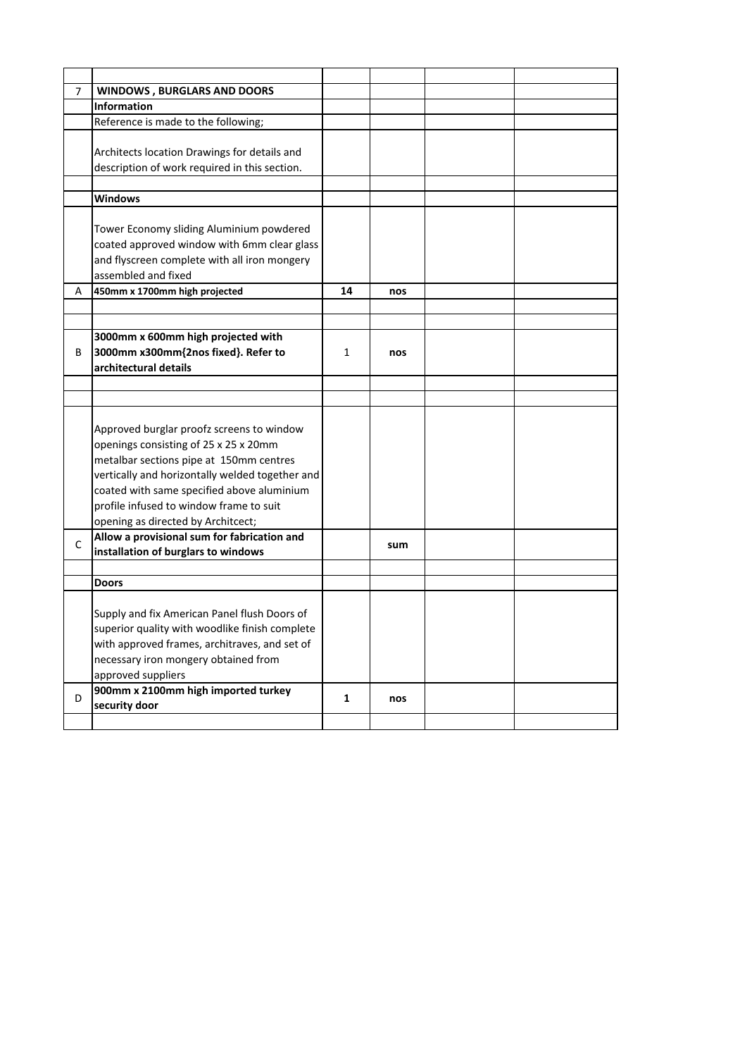| 7 | <b>WINDOWS, BURGLARS AND DOORS</b>                                                                                                                                                                                                                                        |              |     |  |
|---|---------------------------------------------------------------------------------------------------------------------------------------------------------------------------------------------------------------------------------------------------------------------------|--------------|-----|--|
|   | <b>Information</b>                                                                                                                                                                                                                                                        |              |     |  |
|   | Reference is made to the following;                                                                                                                                                                                                                                       |              |     |  |
|   |                                                                                                                                                                                                                                                                           |              |     |  |
|   | Architects location Drawings for details and                                                                                                                                                                                                                              |              |     |  |
|   | description of work required in this section.                                                                                                                                                                                                                             |              |     |  |
|   |                                                                                                                                                                                                                                                                           |              |     |  |
|   | <b>Windows</b>                                                                                                                                                                                                                                                            |              |     |  |
|   | Tower Economy sliding Aluminium powdered                                                                                                                                                                                                                                  |              |     |  |
|   | coated approved window with 6mm clear glass                                                                                                                                                                                                                               |              |     |  |
|   | and flyscreen complete with all iron mongery                                                                                                                                                                                                                              |              |     |  |
|   | assembled and fixed                                                                                                                                                                                                                                                       |              |     |  |
| Α | 450mm x 1700mm high projected                                                                                                                                                                                                                                             | 14           | nos |  |
|   |                                                                                                                                                                                                                                                                           |              |     |  |
|   |                                                                                                                                                                                                                                                                           |              |     |  |
|   | 3000mm x 600mm high projected with                                                                                                                                                                                                                                        |              |     |  |
| B | 3000mm x300mm{2nos fixed}. Refer to                                                                                                                                                                                                                                       | 1            | nos |  |
|   | architectural details                                                                                                                                                                                                                                                     |              |     |  |
|   |                                                                                                                                                                                                                                                                           |              |     |  |
|   |                                                                                                                                                                                                                                                                           |              |     |  |
|   | Approved burglar proofz screens to window<br>openings consisting of 25 x 25 x 20mm<br>metalbar sections pipe at 150mm centres<br>vertically and horizontally welded together and<br>coated with same specified above aluminium<br>profile infused to window frame to suit |              |     |  |
|   | opening as directed by Architcect;<br>Allow a provisional sum for fabrication and                                                                                                                                                                                         |              |     |  |
| C | installation of burglars to windows                                                                                                                                                                                                                                       |              | sum |  |
|   |                                                                                                                                                                                                                                                                           |              |     |  |
|   | Doors                                                                                                                                                                                                                                                                     |              |     |  |
|   | Supply and fix American Panel flush Doors of<br>superior quality with woodlike finish complete<br>with approved frames, architraves, and set of<br>necessary iron mongery obtained from<br>approved suppliers                                                             |              |     |  |
| D | 900mm x 2100mm high imported turkey<br>security door                                                                                                                                                                                                                      | $\mathbf{1}$ | nos |  |
|   |                                                                                                                                                                                                                                                                           |              |     |  |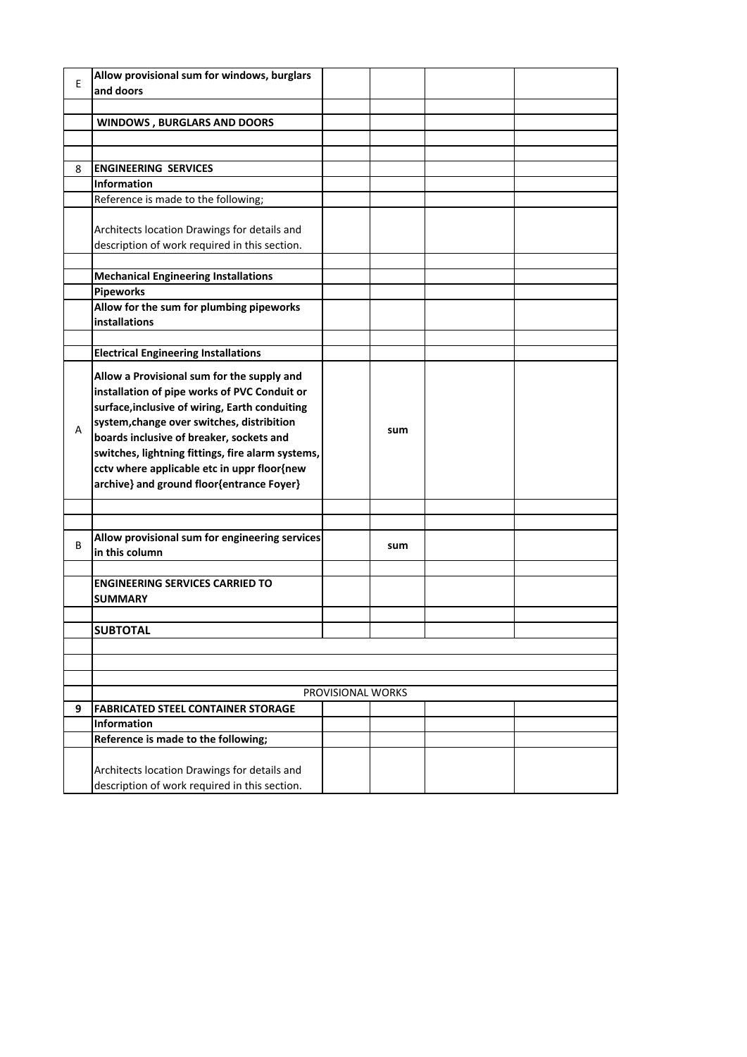| E | Allow provisional sum for windows, burglars<br>and doors |                   |     |  |
|---|----------------------------------------------------------|-------------------|-----|--|
|   |                                                          |                   |     |  |
|   |                                                          |                   |     |  |
|   | <b>WINDOWS, BURGLARS AND DOORS</b>                       |                   |     |  |
|   |                                                          |                   |     |  |
| 8 | <b>ENGINEERING SERVICES</b>                              |                   |     |  |
|   | <b>Information</b>                                       |                   |     |  |
|   | Reference is made to the following;                      |                   |     |  |
|   |                                                          |                   |     |  |
|   | Architects location Drawings for details and             |                   |     |  |
|   | description of work required in this section.            |                   |     |  |
|   |                                                          |                   |     |  |
|   | <b>Mechanical Engineering Installations</b>              |                   |     |  |
|   | <b>Pipeworks</b>                                         |                   |     |  |
|   | Allow for the sum for plumbing pipeworks                 |                   |     |  |
|   | <b>installations</b>                                     |                   |     |  |
|   |                                                          |                   |     |  |
|   | <b>Electrical Engineering Installations</b>              |                   |     |  |
|   |                                                          |                   |     |  |
|   | Allow a Provisional sum for the supply and               |                   |     |  |
|   | installation of pipe works of PVC Conduit or             |                   |     |  |
|   | surface, inclusive of wiring, Earth conduiting           |                   |     |  |
| A | system, change over switches, distribition               |                   | sum |  |
|   | boards inclusive of breaker, sockets and                 |                   |     |  |
|   | switches, lightning fittings, fire alarm systems,        |                   |     |  |
|   | cctv where applicable etc in uppr floor{new              |                   |     |  |
|   | archive} and ground floor{entrance Foyer}                |                   |     |  |
|   |                                                          |                   |     |  |
|   |                                                          |                   |     |  |
|   | Allow provisional sum for engineering services           |                   |     |  |
| B | in this column                                           |                   | sum |  |
|   |                                                          |                   |     |  |
|   | <b>ENGINEERING SERVICES CARRIED TO</b>                   |                   |     |  |
|   | <b>SUMMARY</b>                                           |                   |     |  |
|   |                                                          |                   |     |  |
|   | <b>SUBTOTAL</b>                                          |                   |     |  |
|   |                                                          |                   |     |  |
|   |                                                          |                   |     |  |
|   |                                                          |                   |     |  |
|   |                                                          | PROVISIONAL WORKS |     |  |
| 9 | <b>FABRICATED STEEL CONTAINER STORAGE</b>                |                   |     |  |
|   | <b>Information</b>                                       |                   |     |  |
|   | Reference is made to the following;                      |                   |     |  |
|   |                                                          |                   |     |  |
|   | Architects location Drawings for details and             |                   |     |  |
|   | description of work required in this section.            |                   |     |  |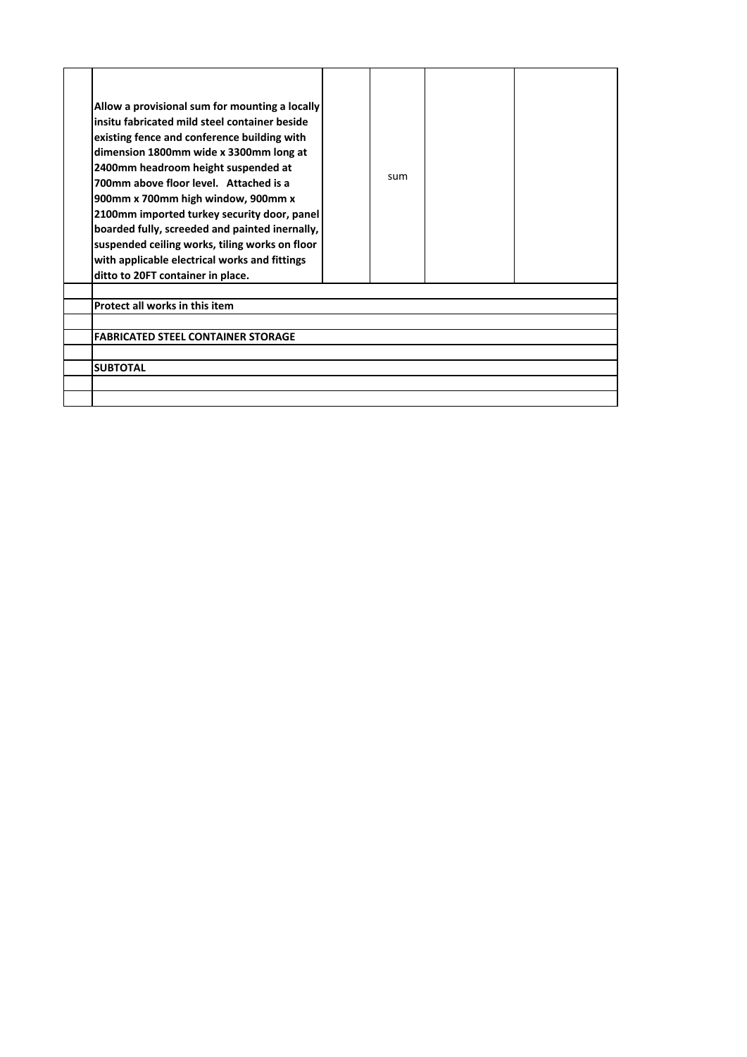| Allow a provisional sum for mounting a locally<br>insitu fabricated mild steel container beside<br>existing fence and conference building with<br>dimension 1800mm wide x 3300mm long at<br>2400mm headroom height suspended at<br>700mm above floor level. Attached is a<br>900mm x 700mm high window, 900mm x<br>2100mm imported turkey security door, panel<br>boarded fully, screeded and painted inernally,<br>suspended ceiling works, tiling works on floor<br>with applicable electrical works and fittings<br>ditto to 20FT container in place. | sum |  |
|----------------------------------------------------------------------------------------------------------------------------------------------------------------------------------------------------------------------------------------------------------------------------------------------------------------------------------------------------------------------------------------------------------------------------------------------------------------------------------------------------------------------------------------------------------|-----|--|
|                                                                                                                                                                                                                                                                                                                                                                                                                                                                                                                                                          |     |  |
| Protect all works in this item                                                                                                                                                                                                                                                                                                                                                                                                                                                                                                                           |     |  |
| <b>FABRICATED STEEL CONTAINER STORAGE</b>                                                                                                                                                                                                                                                                                                                                                                                                                                                                                                                |     |  |
|                                                                                                                                                                                                                                                                                                                                                                                                                                                                                                                                                          |     |  |
| <b>SUBTOTAL</b>                                                                                                                                                                                                                                                                                                                                                                                                                                                                                                                                          |     |  |
|                                                                                                                                                                                                                                                                                                                                                                                                                                                                                                                                                          |     |  |
|                                                                                                                                                                                                                                                                                                                                                                                                                                                                                                                                                          |     |  |